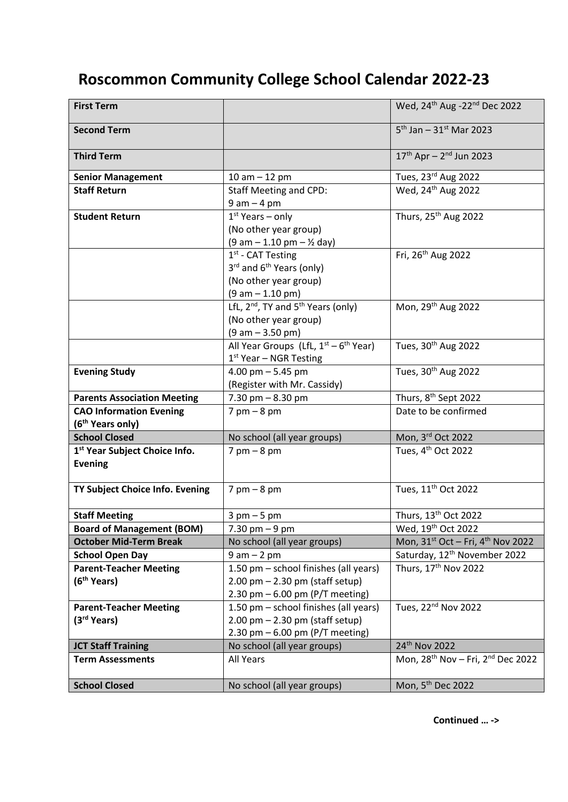## **Roscommon Community College School Calendar 2022-23**

| <b>First Term</b>                  |                                                            | Wed, 24 <sup>th</sup> Aug -22 <sup>nd</sup> Dec 2022      |
|------------------------------------|------------------------------------------------------------|-----------------------------------------------------------|
| <b>Second Term</b>                 |                                                            | $5^{th}$ Jan - 31st Mar 2023                              |
| <b>Third Term</b>                  |                                                            | $17^{th}$ Apr - $2^{nd}$ Jun 2023                         |
| <b>Senior Management</b>           | 10 am $-$ 12 pm                                            | Tues, 23rd Aug 2022                                       |
| <b>Staff Return</b>                | <b>Staff Meeting and CPD:</b>                              | Wed, 24 <sup>th</sup> Aug 2022                            |
|                                    | $9 am - 4 pm$                                              |                                                           |
| <b>Student Return</b>              | $1st$ Years – only                                         | Thurs, 25 <sup>th</sup> Aug 2022                          |
|                                    | (No other year group)                                      |                                                           |
|                                    | $(9 am - 1.10 pm - \frac{1}{2} day)$                       |                                                           |
|                                    | 1 <sup>st</sup> - CAT Testing                              | Fri, 26 <sup>th</sup> Aug 2022                            |
|                                    | 3rd and 6 <sup>th</sup> Years (only)                       |                                                           |
|                                    | (No other year group)                                      |                                                           |
|                                    | $(9 am - 1.10 pm)$                                         |                                                           |
|                                    | LfL, 2 <sup>nd</sup> , TY and 5 <sup>th</sup> Years (only) | Mon, 29 <sup>th</sup> Aug 2022                            |
|                                    | (No other year group)                                      |                                                           |
|                                    | $(9 am - 3.50 pm)$                                         |                                                           |
|                                    | All Year Groups (LfL, $1^{st} - 6^{th}$ Year)              | Tues, 30 <sup>th</sup> Aug 2022                           |
|                                    | 1 <sup>st</sup> Year - NGR Testing                         |                                                           |
| <b>Evening Study</b>               | 4.00 pm $-5.45$ pm                                         | Tues, 30 <sup>th</sup> Aug 2022                           |
|                                    | (Register with Mr. Cassidy)                                |                                                           |
| <b>Parents Association Meeting</b> | 7.30 pm $-8.30$ pm                                         | Thurs, 8 <sup>th</sup> Sept 2022                          |
| <b>CAO Information Evening</b>     | $7$ pm $-8$ pm                                             | Date to be confirmed                                      |
| (6 <sup>th</sup> Years only)       |                                                            |                                                           |
| <b>School Closed</b>               | No school (all year groups)                                | Mon, 3rd Oct 2022                                         |
| 1st Year Subject Choice Info.      | $7$ pm $-8$ pm                                             | Tues, 4 <sup>th</sup> Oct 2022                            |
| <b>Evening</b>                     |                                                            |                                                           |
|                                    |                                                            |                                                           |
| TY Subject Choice Info. Evening    | $7$ pm $-8$ pm                                             | Tues, 11 <sup>th</sup> Oct 2022                           |
|                                    |                                                            |                                                           |
| <b>Staff Meeting</b>               | $3$ pm $-5$ pm                                             | Thurs, 13 <sup>th</sup> Oct 2022                          |
| <b>Board of Management (BOM)</b>   | $7.30 \text{ pm} - 9 \text{ pm}$                           | Wed, 19 <sup>th</sup> Oct 2022                            |
| <b>October Mid-Term Break</b>      | No school (all year groups)                                | Mon, 31 <sup>st</sup> Oct - Fri, 4 <sup>th</sup> Nov 2022 |
| <b>School Open Day</b>             | $9 am - 2 pm$                                              | Saturday, 12 <sup>th</sup> November 2022                  |
| <b>Parent-Teacher Meeting</b>      | 1.50 pm - school finishes (all years)                      | Thurs, 17th Nov 2022                                      |
| (6 <sup>th</sup> Years)            | $2.00$ pm $- 2.30$ pm (staff setup)                        |                                                           |
|                                    | 2.30 pm $-6.00$ pm (P/T meeting)                           |                                                           |
| <b>Parent-Teacher Meeting</b>      | 1.50 pm - school finishes (all years)                      | Tues, 22 <sup>nd</sup> Nov 2022                           |
| (3 <sup>rd</sup> Years)            | $2.00$ pm $- 2.30$ pm (staff setup)                        |                                                           |
|                                    | 2.30 pm $-6.00$ pm (P/T meeting)                           |                                                           |
| <b>JCT Staff Training</b>          | No school (all year groups)                                | 24th Nov 2022                                             |
| <b>Term Assessments</b>            | All Years                                                  | Mon, $28^{th}$ Nov - Fri, $2^{nd}$ Dec 2022               |
| <b>School Closed</b>               | No school (all year groups)                                | Mon, 5 <sup>th</sup> Dec 2022                             |
|                                    |                                                            |                                                           |